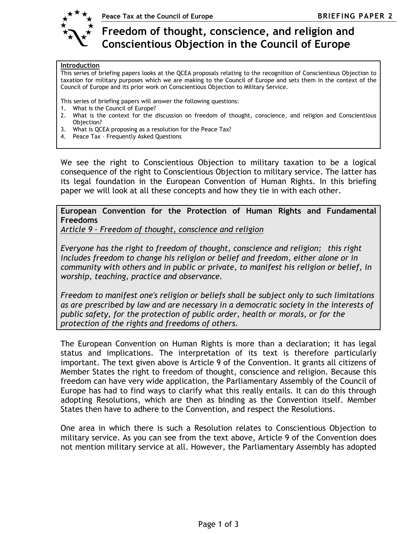

Freedom of thought, conscience, and religion and Conscientious Objection in the Council of Europe

## Introduction

This series of briefing papers looks at the QCEA proposals relating to the recognition of Conscientious Objection to taxation for military purposes which we are making to the Council of Europe and sets them in the context of the Council of Europe and its prior work on Conscientious Objection to Military Service.

This series of briefing papers will answer the following questions:

- 1. What is the Council of Europe?
- 2. What is the context for the discussion on freedom of thought, conscience, and religion and Conscientious Objection?
- 3. What is QCEA proposing as a resolution for the Peace Tax?
- 4. Peace Tax Frequently Asked Questions

We see the right to Conscientious Objection to military taxation to be a logical consequence of the right to Conscientious Objection to military service. The latter has its legal foundation in the European Convention of Human Rights. In this briefing paper we will look at all these concepts and how they tie in with each other.

European Convention for the Protection of Human Rights and Fundamental Freedoms

Article 9 – Freedom of thought, conscience and religion

Everyone has the right to freedom of thought, conscience and religion; this right includes freedom to change his religion or belief and freedom, either alone or in community with others and in public or private, to manifest his religion or belief, in worship, teaching, practice and observance.

Freedom to manifest one's religion or beliefs shall be subject only to such limitations as are prescribed by law and are necessary in a democratic society in the interests of public safety, for the protection of public order, health or morals, or for the protection of the rights and freedoms of others.

The European Convention on Human Rights is more than a declaration; it has legal status and implications. The interpretation of its text is therefore particularly important. The text given above is Article 9 of the Convention. It grants all citizens of Member States the right to freedom of thought, conscience and religion. Because this freedom can have very wide application, the Parliamentary Assembly of the Council of Europe has had to find ways to clarify what this really entails. It can do this through adopting Resolutions, which are then as binding as the Convention itself. Member States then have to adhere to the Convention, and respect the Resolutions.

One area in which there is such a Resolution relates to Conscientious Objection to military service. As you can see from the text above, Article 9 of the Convention does not mention military service at all. However, the Parliamentary Assembly has adopted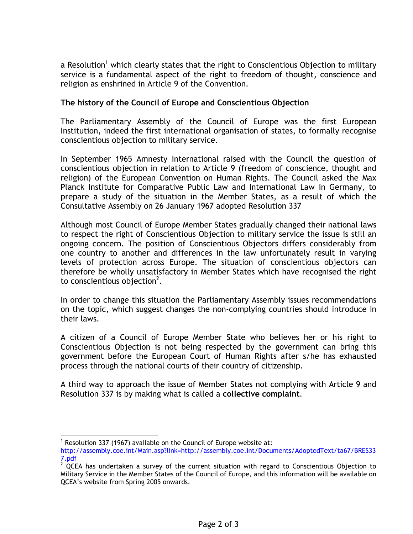a Resolution<sup>1</sup> which clearly states that the right to Conscientious Objection to military service is a fundamental aspect of the right to freedom of thought, conscience and religion as enshrined in Article 9 of the Convention.

## The history of the Council of Europe and Conscientious Objection

The Parliamentary Assembly of the Council of Europe was the first European Institution, indeed the first international organisation of states, to formally recognise conscientious objection to military service.

In September 1965 Amnesty International raised with the Council the question of conscientious objection in relation to Article 9 (freedom of conscience, thought and religion) of the European Convention on Human Rights. The Council asked the Max Planck Institute for Comparative Public Law and International Law in Germany, to prepare a study of the situation in the Member States, as a result of which the Consultative Assembly on 26 January 1967 adopted Resolution 337

Although most Council of Europe Member States gradually changed their national laws to respect the right of Conscientious Objection to military service the issue is still an ongoing concern. The position of Conscientious Objectors differs considerably from one country to another and differences in the law unfortunately result in varying levels of protection across Europe. The situation of conscientious objectors can therefore be wholly unsatisfactory in Member States which have recognised the right to conscientious objection<sup>2</sup>.

In order to change this situation the Parliamentary Assembly issues recommendations on the topic, which suggest changes the non-complying countries should introduce in their laws.

A citizen of a Council of Europe Member State who believes her or his right to Conscientious Objection is not being respected by the government can bring this government before the European Court of Human Rights after s/he has exhausted process through the national courts of their country of citizenship.

A third way to approach the issue of Member States not complying with Article 9 and Resolution 337 is by making what is called a collective complaint.

 $\overline{a}$ 

<sup>&</sup>lt;sup>1</sup> Resolution 337 (1967) available on the Council of Europe website at:

http://assembly.coe.int/Main.asp?link=http://assembly.coe.int/Documents/AdoptedText/ta67/BRES33 7.pdf

 $2$  QCEA has undertaken a survey of the current situation with regard to Conscientious Objection to Military Service in the Member States of the Council of Europe, and this information will be available on QCEA's website from Spring 2005 onwards.